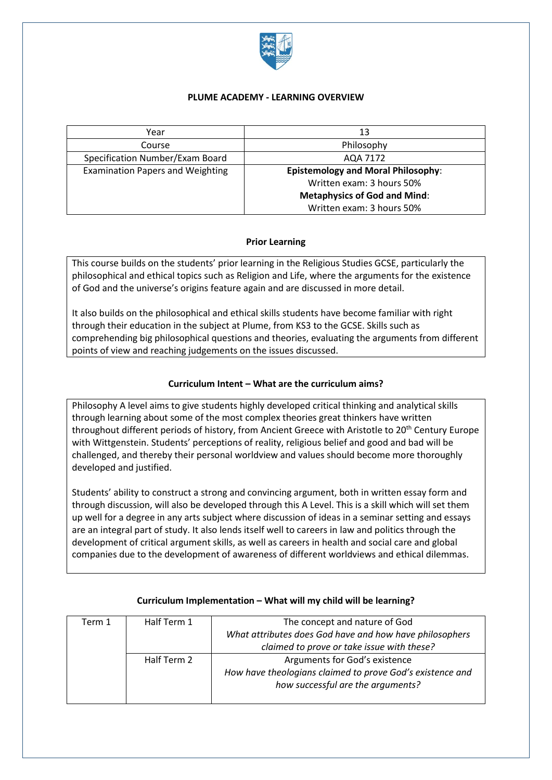

#### **PLUME ACADEMY - LEARNING OVERVIEW**

| Year                                    | 13                                        |
|-----------------------------------------|-------------------------------------------|
| Course                                  | Philosophy                                |
| Specification Number/Exam Board         | AQA 7172                                  |
| <b>Examination Papers and Weighting</b> | <b>Epistemology and Moral Philosophy:</b> |
|                                         | Written exam: 3 hours 50%                 |
|                                         | <b>Metaphysics of God and Mind:</b>       |
|                                         | Written exam: 3 hours 50%                 |

## **Prior Learning**

This course builds on the students' prior learning in the Religious Studies GCSE, particularly the philosophical and ethical topics such as Religion and Life, where the arguments for the existence of God and the universe's origins feature again and are discussed in more detail.

It also builds on the philosophical and ethical skills students have become familiar with right through their education in the subject at Plume, from KS3 to the GCSE. Skills such as comprehending big philosophical questions and theories, evaluating the arguments from different points of view and reaching judgements on the issues discussed.

## **Curriculum Intent – What are the curriculum aims?**

Philosophy A level aims to give students highly developed critical thinking and analytical skills through learning about some of the most complex theories great thinkers have written throughout different periods of history, from Ancient Greece with Aristotle to 20<sup>th</sup> Century Europe with Wittgenstein. Students' perceptions of reality, religious belief and good and bad will be challenged, and thereby their personal worldview and values should become more thoroughly developed and justified.

Students' ability to construct a strong and convincing argument, both in written essay form and through discussion, will also be developed through this A Level. This is a skill which will set them up well for a degree in any arts subject where discussion of ideas in a seminar setting and essays are an integral part of study. It also lends itself well to careers in law and politics through the development of critical argument skills, as well as careers in health and social care and global companies due to the development of awareness of different worldviews and ethical dilemmas.

| Term 1 | Half Term 1 | The concept and nature of God                             |
|--------|-------------|-----------------------------------------------------------|
|        |             | What attributes does God have and how have philosophers   |
|        |             | claimed to prove or take issue with these?                |
|        | Half Term 2 | Arguments for God's existence                             |
|        |             | How have theologians claimed to prove God's existence and |
|        |             | how successful are the arguments?                         |
|        |             |                                                           |

#### **Curriculum Implementation – What will my child will be learning?**